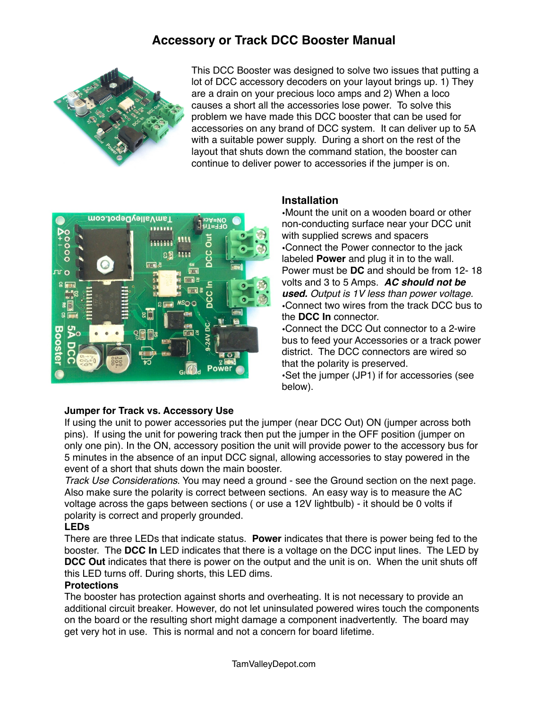# **Accessory or Track DCC Booster Manual**



This DCC Booster was designed to solve two issues that putting a lot of DCC accessory decoders on your layout brings up. 1) They are a drain on your precious loco amps and 2) When a loco causes a short all the accessories lose power. To solve this problem we have made this DCC booster that can be used for accessories on any brand of DCC system. It can deliver up to 5A with a suitable power supply. During a short on the rest of the layout that shuts down the command station, the booster can continue to deliver power to accessories if the jumper is on. "



#### **Installation**

•Mount the unit on a wooden board or other non-conducting surface near your DCC unit with supplied screws and spacers •Connect the Power connector to the jack labeled **Power** and plug it in to the wall. Power must be **DC** and should be from 12- 18 volts and 3 to 5 Amps. *AC should not be used. Output is 1V less than power voltage.* •Connect two wires from the track DCC bus to the **DCC In** connector.

•Connect the DCC Out connector to a 2-wire bus to feed your Accessories or a track power district. The DCC connectors are wired so that the polarity is preserved.

•Set the jumper (JP1) if for accessories (see below).

#### **Jumper for Track vs. Accessory Use**

If using the unit to power accessories put the jumper (near DCC Out) ON (jumper across both pins). If using the unit for powering track then put the jumper in the OFF position (jumper on only one pin). In the ON, accessory position the unit will provide power to the accessory bus for 5 minutes in the absence of an input DCC signal, allowing accessories to stay powered in the event of a short that shuts down the main booster.

*Track Use Considerations*. You may need a ground - see the Ground section on the next page. Also make sure the polarity is correct between sections. An easy way is to measure the AC voltage across the gaps between sections ( or use a 12V lightbulb) - it should be 0 volts if polarity is correct and properly grounded.

#### **LEDs**

There are three LEDs that indicate status. **Power** indicates that there is power being fed to the booster. The **DCC In** LED indicates that there is a voltage on the DCC input lines. The LED by **DCC Out** indicates that there is power on the output and the unit is on. When the unit shuts off this LED turns off. During shorts, this LED dims.

#### **Protections**

The booster has protection against shorts and overheating. It is not necessary to provide an additional circuit breaker. However, do not let uninsulated powered wires touch the components on the board or the resulting short might damage a component inadvertently. The board may get very hot in use. This is normal and not a concern for board lifetime.